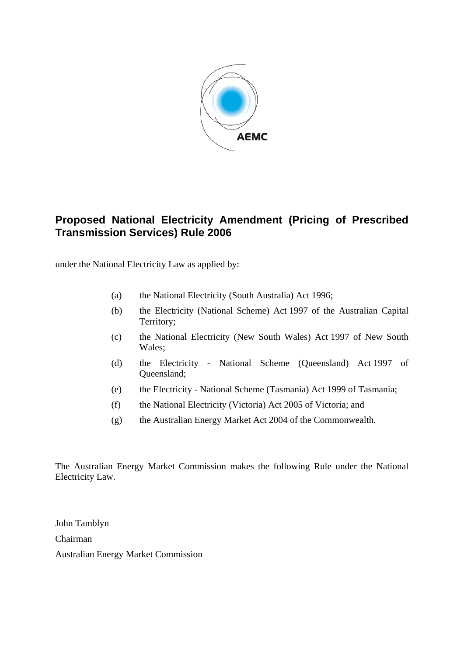

# **Proposed National Electricity Amendment (Pricing of Prescribed Transmission Services) Rule 2006**

under the National Electricity Law as applied by:

- (a) the National Electricity (South Australia) Act 1996;
- (b) the Electricity (National Scheme) Act 1997 of the Australian Capital Territory;
- (c) the National Electricity (New South Wales) Act 1997 of New South Wales;
- (d) the Electricity National Scheme (Queensland) Act 1997 of Queensland;
- (e) the Electricity National Scheme (Tasmania) Act 1999 of Tasmania;
- (f) the National Electricity (Victoria) Act 2005 of Victoria; and
- (g) the Australian Energy Market Act 2004 of the Commonwealth.

The Australian Energy Market Commission makes the following Rule under the National Electricity Law.

John Tamblyn Chairman Australian Energy Market Commission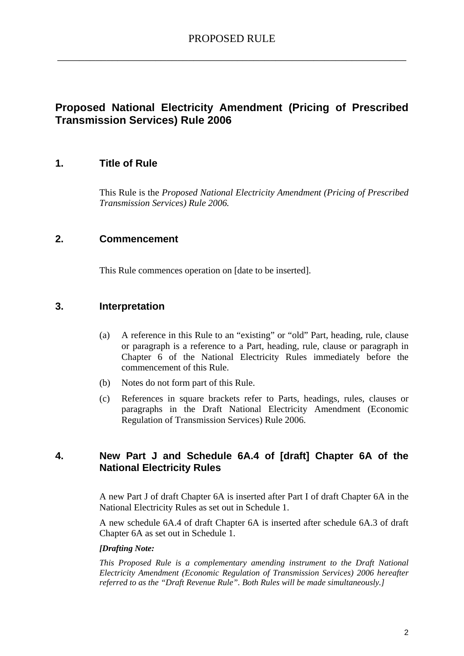# **Proposed National Electricity Amendment (Pricing of Prescribed Transmission Services) Rule 2006**

## **1. Title of Rule**

This Rule is the *Proposed National Electricity Amendment (Pricing of Prescribed Transmission Services) Rule 2006.* 

## **2. Commencement**

This Rule commences operation on [date to be inserted].

## **3. Interpretation**

- (a) A reference in this Rule to an "existing" or "old" Part, heading, rule, clause or paragraph is a reference to a Part, heading, rule, clause or paragraph in Chapter 6 of the National Electricity Rules immediately before the commencement of this Rule.
- (b) Notes do not form part of this Rule.
- (c) References in square brackets refer to Parts, headings, rules, clauses or paragraphs in the Draft National Electricity Amendment (Economic Regulation of Transmission Services) Rule 2006.

## **4. New Part J and Schedule 6A.4 of [draft] Chapter 6A of the National Electricity Rules**

A new Part J of draft Chapter 6A is inserted after Part I of draft Chapter 6A in the National Electricity Rules as set out in Schedule 1.

A new schedule 6A.4 of draft Chapter 6A is inserted after schedule 6A.3 of draft Chapter 6A as set out in Schedule 1.

#### *[Drafting Note:*

*This Proposed Rule is a complementary amending instrument to the Draft National Electricity Amendment (Economic Regulation of Transmission Services) 2006 hereafter referred to as the "Draft Revenue Rule". Both Rules will be made simultaneously.]*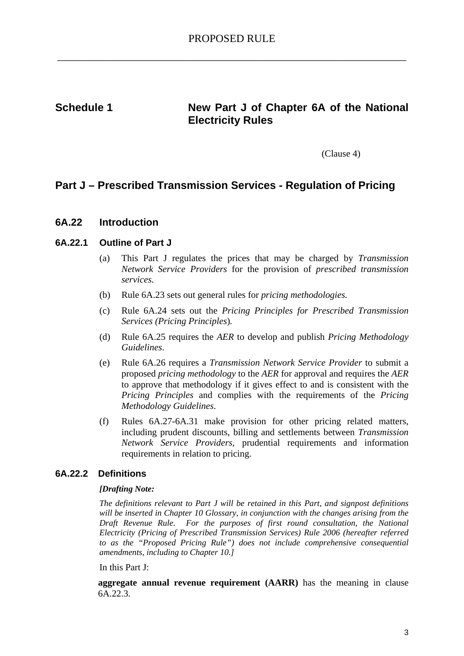## Schedule 1 **New Part J of Chapter 6A of the National Electricity Rules**

(Clause 4)

# **Part J – Prescribed Transmission Services - Regulation of Pricing**

## **6A.22 Introduction**

#### **6A.22.1 Outline of Part J**

- (a) This Part J regulates the prices that may be charged by *Transmission Network Service Providers* for the provision of *prescribed transmission services.*
- (b) Rule 6A.23 sets out general rules for *pricing methodologies.*
- (c) Rule 6A.24 sets out the *Pricing Principles for Prescribed Transmission Services (Pricing Principles*)*.*
- (d) Rule 6A.25 requires the *AER* to develop and publish *Pricing Methodology Guidelines*.
- (e) Rule 6A.26 requires a *Transmission Network Service Provider* to submit a proposed *pricing methodology* to the *AER* for approval and requires the *AER* to approve that methodology if it gives effect to and is consistent with the *Pricing Principles* and complies with the requirements of the *Pricing Methodology Guidelines*.
- (f) Rules 6A.27-6A.31 make provision for other pricing related matters, including prudent discounts, billing and settlements between *Transmission Network Service Providers,* prudential requirements and information requirements in relation to pricing.

#### **6A.22.2 Definitions**

#### *[Drafting Note:*

*The definitions relevant to Part J will be retained in this Part, and signpost definitions will be inserted in Chapter 10 Glossary, in conjunction with the changes arising from the Draft Revenue Rule. For the purposes of first round consultation, the National Electricity (Pricing of Prescribed Transmission Services) Rule 2006 (hereafter referred to as the "Proposed Pricing Rule") does not include comprehensive consequential amendments, including to Chapter 10.]* 

In this Part J:

**aggregate annual revenue requirement (AARR)** has the meaning in clause 6A.22.3.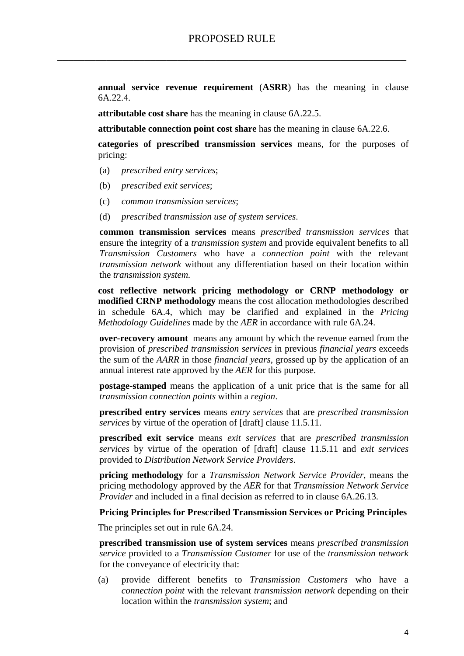**annual service revenue requirement** (**ASRR**) has the meaning in clause 6A.22.4.

**attributable cost share** has the meaning in clause 6A.22.5.

**attributable connection point cost share** has the meaning in clause 6A.22.6.

**categories of prescribed transmission services** means, for the purposes of pricing:

- (a) *prescribed entry services*;
- (b) *prescribed exit services*;
- (c) *common transmission services*;
- (d) *prescribed transmission use of system services*.

**common transmission services** means *prescribed transmission services* that ensure the integrity of a *transmission system* and provide equivalent benefits to all *Transmission Customers* who have a *connection point* with the relevant *transmission network* without any differentiation based on their location within the *transmission system.* 

**cost reflective network pricing methodology or CRNP methodology or modified CRNP methodology** means the cost allocation methodologies described in schedule 6A.4, which may be clarified and explained in the *Pricing Methodology Guidelines* made by the *AER* in accordance with rule 6A.24.

**over-recovery amount** means any amount by which the revenue earned from the provision of *prescribed transmission services* in previous *financial years* exceeds the sum of the *AARR* in those *financial years*, grossed up by the application of an annual interest rate approved by the *AER* for this purpose.

**postage-stamped** means the application of a unit price that is the same for all *transmission connection points* within a *region*.

**prescribed entry services** means *entry services* that are *prescribed transmission services* by virtue of the operation of [draft] clause 11.5.11.

**prescribed exit service** means *exit services* that are *prescribed transmission services* by virtue of the operation of [draft] clause 11.5.11 and *exit services* provided to *Distribution Network Service Providers*.

**pricing methodology** for a *Transmission Network Service Provider*, means the pricing methodology approved by the *AER* for that *Transmission Network Service Provider* and included in a final decision as referred to in clause 6A.26.13.

#### **Pricing Principles for Prescribed Transmission Services or Pricing Principles**

The principles set out in rule 6A.24.

**prescribed transmission use of system services** means *prescribed transmission service* provided to a *Transmission Customer* for use of the *transmission network* for the conveyance of electricity that:

(a) provide different benefits to *Transmission Customers* who have a *connection point* with the relevant *transmission network* depending on their location within the *transmission system*; and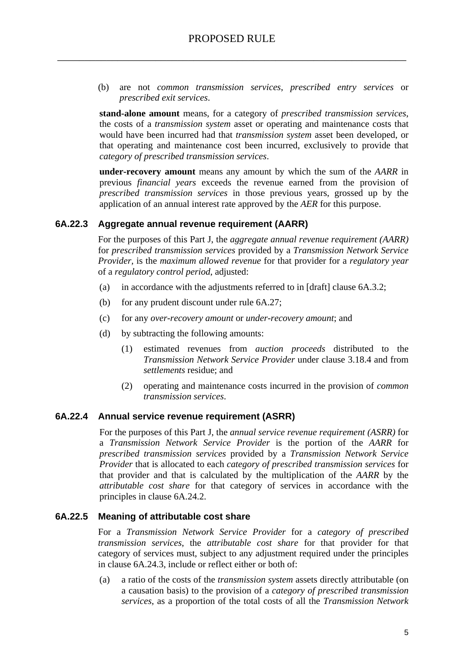(b) are not *common transmission services*, *prescribed entry services* or *prescribed exit services*.

**stand-alone amount** means, for a category of *prescribed transmission services*, the costs of a *transmission system* asset or operating and maintenance costs that would have been incurred had that *transmission system* asset been developed, or that operating and maintenance cost been incurred, exclusively to provide that *category of prescribed transmission services*.

**under-recovery amount** means any amount by which the sum of the *AARR* in previous *financial years* exceeds the revenue earned from the provision of *prescribed transmission services* in those previous years, grossed up by the application of an annual interest rate approved by the *AER* for this purpose.

#### **6A.22.3 Aggregate annual revenue requirement (AARR)**

For the purposes of this Part J, the *aggregate annual revenue requirement (AARR)* for *prescribed transmission services* provided by a *Transmission Network Service Provider,* is the *maximum allowed revenue* for that provider for a *regulatory year* of a *regulatory control period*, adjusted:

- (a) in accordance with the adjustments referred to in [draft] clause 6A.3.2;
- (b) for any prudent discount under rule 6A.27;
- (c) for any *over-recovery amount* or *under-recovery amount*; and
- (d) by subtracting the following amounts:
	- (1) estimated revenues from *auction proceeds* distributed to the *Transmission Network Service Provider* under clause 3.18.4 and from *settlements* residue; and
	- (2) operating and maintenance costs incurred in the provision of *common transmission services*.

#### **6A.22.4 Annual service revenue requirement (ASRR)**

For the purposes of this Part J, the *annual service revenue requirement (ASRR)* for a *Transmission Network Service Provider* is the portion of the *AARR* for *prescribed transmission services* provided by a *Transmission Network Service Provider* that is allocated to each *category of prescribed transmission services* for that provider and that is calculated by the multiplication of the *AARR* by the *attributable cost share* for that category of services in accordance with the principles in clause 6A.24.2.

#### **6A.22.5 Meaning of attributable cost share**

For a *Transmission Network Service Provider* for a *category of prescribed transmission services*, the *attributable cost share* for that provider for that category of services must, subject to any adjustment required under the principles in clause 6A.24.3, include or reflect either or both of:

(a) a ratio of the costs of the *transmission system* assets directly attributable (on a causation basis) to the provision of a *category of prescribed transmission services*, as a proportion of the total costs of all the *Transmission Network*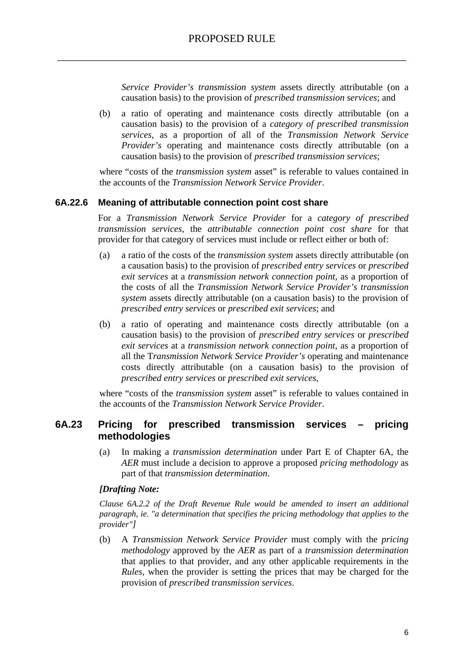*Service Provider's transmission system* assets directly attributable (on a causation basis) to the provision of *prescribed transmission services*; and

(b) a ratio of operating and maintenance costs directly attributable (on a causation basis) to the provision of a *category of prescribed transmission services*, as a proportion of all of the *Transmission Network Service Provider's* operating and maintenance costs directly attributable (on a causation basis) to the provision of *prescribed transmission services*;

where "costs of the *transmission system* asset" is referable to values contained in the accounts of the *Transmission Network Service Provider*.

#### **6A.22.6 Meaning of attributable connection point cost share**

For a *Transmission Network Service Provider* for a *category of prescribed transmission services*, the *attributable connection point cost share* for that provider for that category of services must include or reflect either or both of:

- (a) a ratio of the costs of the *transmission system* assets directly attributable (on a causation basis) to the provision of *prescribed entry services* or *prescribed exit services* at a *transmission network connection point*, as a proportion of the costs of all the *Transmission Network Service Provider's transmission system* assets directly attributable (on a causation basis) to the provision of *prescribed entry services* or *prescribed exit services*; and
- (b) a ratio of operating and maintenance costs directly attributable (on a causation basis) to the provision of *prescribed entry services* or *prescribed exit services* at a *transmission network connection point*, as a proportion of all the T*ransmission Network Service Provider's* operating and maintenance costs directly attributable (on a causation basis) to the provision of *prescribed entry services* or *prescribed exit services*,

where "costs of the *transmission system* asset" is referable to values contained in the accounts of the *Transmission Network Service Provider*.

## **6A.23 Pricing for prescribed transmission services – pricing methodologies**

(a) In making a *transmission determination* under Part E of Chapter 6A, the *AER* must include a decision to approve a proposed *pricing methodology* as part of that *transmission determination*.

#### *[Drafting Note:*

*Clause 6A.2.2 of the Draft Revenue Rule would be amended to insert an additional paragraph, ie. "a determination that specifies the pricing methodology that applies to the provider"]* 

(b) A *Transmission Network Service Provider* must comply with the *pricing methodology* approved by the *AER* as part of a *transmission determination*  that applies to that provider, and any other applicable requirements in the *Rules*, when the provider is setting the prices that may be charged for the provision of *prescribed transmission services*.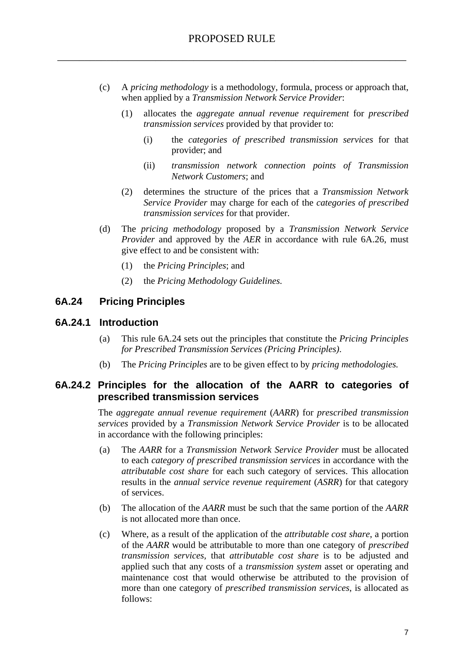- (c) A *pricing methodology* is a methodology, formula, process or approach that, when applied by a *Transmission Network Service Provider*:
	- (1) allocates the *aggregate annual revenue requirement* for *prescribed transmission services* provided by that provider to:
		- (i) the *categories of prescribed transmission services* for that provider; and
		- (ii) *transmission network connection points of Transmission Network Customers*; and
	- (2) determines the structure of the prices that a *Transmission Network Service Provider* may charge for each of the *categories of prescribed transmission services* for that provider.
- (d) The *pricing methodology* proposed by a *Transmission Network Service Provider* and approved by the *AER* in accordance with rule 6A.26, must give effect to and be consistent with:
	- (1) the *Pricing Principles*; and
	- (2) the *Pricing Methodology Guidelines*.

## **6A.24 Pricing Principles**

#### **6A.24.1 Introduction**

- (a) This rule 6A.24 sets out the principles that constitute the *Pricing Principles for Prescribed Transmission Services (Pricing Principles)*.
- (b) The *Pricing Principles* are to be given effect to by *pricing methodologies.*

## **6A.24.2 Principles for the allocation of the AARR to categories of prescribed transmission services**

The *aggregate annual revenue requirement* (*AARR*) for *prescribed transmission services* provided by a *Transmission Network Service Provider* is to be allocated in accordance with the following principles:

- (a) The *AARR* for a *Transmission Network Service Provider* must be allocated to each *category of prescribed transmission services* in accordance with the *attributable cost share* for each such category of services. This allocation results in the *annual service revenue requirement* (*ASRR*) for that category of services.
- (b) The allocation of the *AARR* must be such that the same portion of the *AARR* is not allocated more than once.
- (c) Where, as a result of the application of the *attributable cost share*, a portion of the *AARR* would be attributable to more than one category of *prescribed transmission services,* that *attributable cost share* is to be adjusted and applied such that any costs of a *transmission system* asset or operating and maintenance cost that would otherwise be attributed to the provision of more than one category of *prescribed transmission services*, is allocated as follows: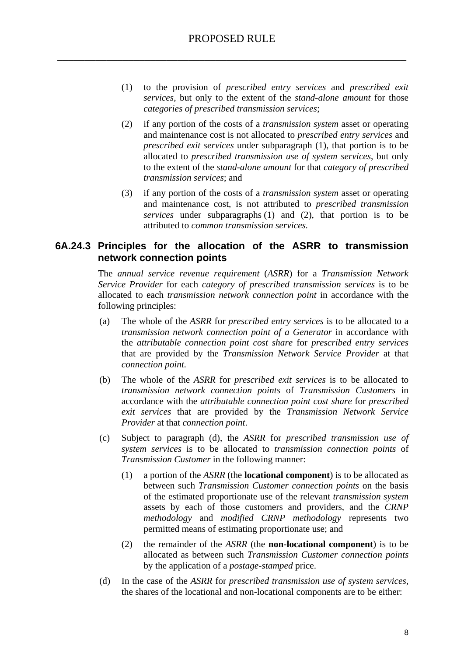- (1) to the provision of *prescribed entry services* and *prescribed exit services*, but only to the extent of the *stand-alone amount* for those *categories of prescribed transmission services*;
- (2) if any portion of the costs of a *transmission system* asset or operating and maintenance cost is not allocated to *prescribed entry services* and *prescribed exit services* under subparagraph (1), that portion is to be allocated to *prescribed transmission use of system services*, but only to the extent of the *stand-alone amount* for that *category of prescribed transmission services*; and
- (3) if any portion of the costs of a *transmission system* asset or operating and maintenance cost, is not attributed to *prescribed transmission services* under subparagraphs (1) and (2), that portion is to be attributed to *common transmission services.*

## **6A.24.3 Principles for the allocation of the ASRR to transmission network connection points**

The *annual service revenue requirement* (*ASRR*) for a *Transmission Network Service Provider* for each *category of prescribed transmission services* is to be allocated to each *transmission network connection point* in accordance with the following principles:

- (a) The whole of the *ASRR* for *prescribed entry services* is to be allocated to a *transmission network connection point of a Generator* in accordance with the *attributable connection point cost share* for *prescribed entry services*  that are provided by the *Transmission Network Service Provider* at that *connection point.*
- (b) The whole of the *ASRR* for *prescribed exit services* is to be allocated to *transmission network connection points* of *Transmission Customers* in accordance with the *attributable connection point cost share* for *prescribed exit services* that are provided by the *Transmission Network Service Provider* at that *connection point*.
- (c) Subject to paragraph (d), the *ASRR* for *prescribed transmission use of system services* is to be allocated to *transmission connection points* of *Transmission Customer* in the following manner:
	- (1) a portion of the *ASRR* (the **locational component**) is to be allocated as between such *Transmission Customer connection points* on the basis of the estimated proportionate use of the relevant *transmission system* assets by each of those customers and providers, and the *CRNP methodology* and *modified CRNP methodology* represents two permitted means of estimating proportionate use; and
	- (2) the remainder of the *ASRR* (the **non-locational component**) is to be allocated as between such *Transmission Customer connection points* by the application of a *postage-stamped* price.
- (d) In the case of the *ASRR* for *prescribed transmission use of system services*, the shares of the locational and non-locational components are to be either: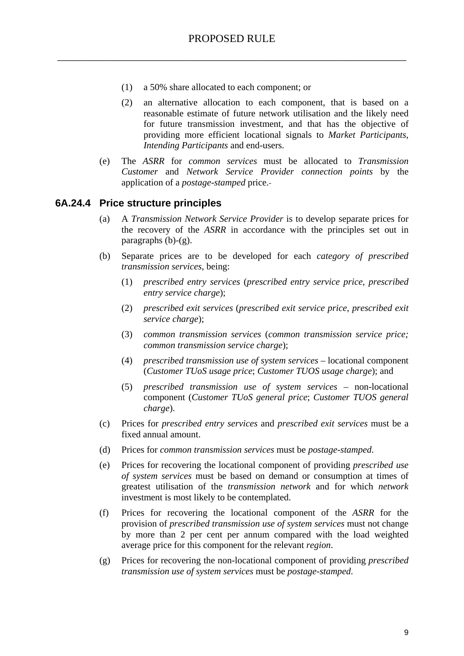- (1) a 50% share allocated to each component; or
- (2) an alternative allocation to each component, that is based on a reasonable estimate of future network utilisation and the likely need for future transmission investment, and that has the objective of providing more efficient locational signals to *Market Participants*, *Intending Participants* and end-users.
- (e) The *ASRR* for *common services* must be allocated to *Transmission Customer* and *Network Service Provider connection points* by the application of a *postage-stamped* price.

#### **6A.24.4 Price structure principles**

- (a) A *Transmission Network Service Provider* is to develop separate prices for the recovery of the *ASRR* in accordance with the principles set out in paragraphs  $(b)-(g)$ .
- (b) Separate prices are to be developed for each *category of prescribed transmission services*, being:
	- (1) *prescribed entry services* (*prescribed entry service price*, *prescribed entry service charge*);
	- (2) *prescribed exit services* (*prescribed exit service price*, *prescribed exit service charge*);
	- (3) *common transmission services* (*common transmission service price; common transmission service charge*);
	- (4) *prescribed transmission use of system services* locational component (*Customer TUoS usage price*; *Customer TUOS usage charge*); and
	- (5) *prescribed transmission use of system services* non-locational component (*Customer TUoS general price*; *Customer TUOS general charge*).
- (c) Prices for *prescribed entry services* and *prescribed exit services* must be a fixed annual amount.
- (d) Prices for *common transmission services* must be *postage-stamped*.
- (e) Prices for recovering the locational component of providing *prescribed use of system services* must be based on demand or consumption at times of greatest utilisation of the *transmission network* and for which *network* investment is most likely to be contemplated.
- (f) Prices for recovering the locational component of the *ASRR* for the provision of *prescribed transmission use of system services* must not change by more than 2 per cent per annum compared with the load weighted average price for this component for the relevant *region*.
- (g) Prices for recovering the non-locational component of providing *prescribed transmission use of system services* must be *postage-stamped*.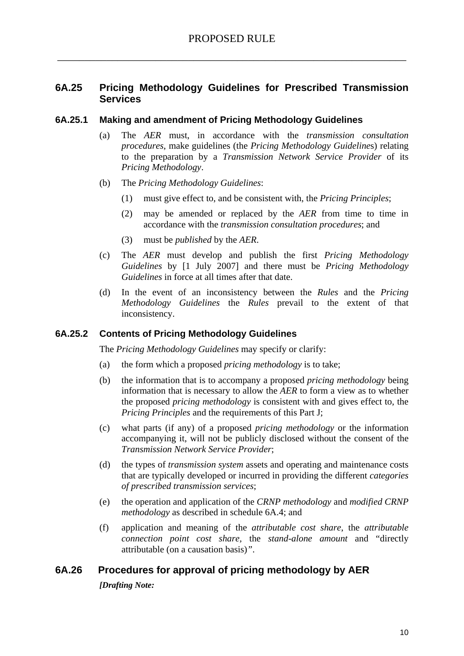## **6A.25 Pricing Methodology Guidelines for Prescribed Transmission Services**

#### **6A.25.1 Making and amendment of Pricing Methodology Guidelines**

- (a) The *AER* must, in accordance with the *transmission consultation procedures*, make guidelines (the *Pricing Methodology Guideline*s) relating to the preparation by a *Transmission Network Service Provider* of its *Pricing Methodology*.
- (b) The *Pricing Methodology Guidelines*:
	- (1) must give effect to, and be consistent with, the *Pricing Principles*;
	- (2) may be amended or replaced by the *AER* from time to time in accordance with the *transmission consultation procedures*; and
	- (3) must be *published* by the *AER*.
- (c) The *AER* must develop and publish the first *Pricing Methodology Guidelines* by [1 July 2007] and there must be *Pricing Methodology Guidelines* in force at all times after that date.
- (d) In the event of an inconsistency between the *Rules* and the *Pricing Methodology Guidelines* the *Rules* prevail to the extent of that inconsistency.

#### **6A.25.2 Contents of Pricing Methodology Guidelines**

The *Pricing Methodology Guidelines* may specify or clarify:

- (a) the form which a proposed *pricing methodology* is to take;
- (b) the information that is to accompany a proposed *pricing methodology* being information that is necessary to allow the *AER* to form a view as to whether the proposed *pricing methodology* is consistent with and gives effect to, the *Pricing Principles* and the requirements of this Part J;
- (c) what parts (if any) of a proposed *pricing methodology* or the information accompanying it, will not be publicly disclosed without the consent of the *Transmission Network Service Provider*;
- (d) the types of *transmission system* assets and operating and maintenance costs that are typically developed or incurred in providing the different *categories of prescribed transmission services*;
- (e) the operation and application of the *CRNP methodology* and *modified CRNP methodology* as described in schedule 6A.4; and
- (f) application and meaning of the *attributable cost share*, the *attributable connection point cost share,* the *stand-alone amount* and "directly attributable (on a causation basis)*"*.

## **6A.26 Procedures for approval of pricing methodology by AER**

*[Drafting Note:*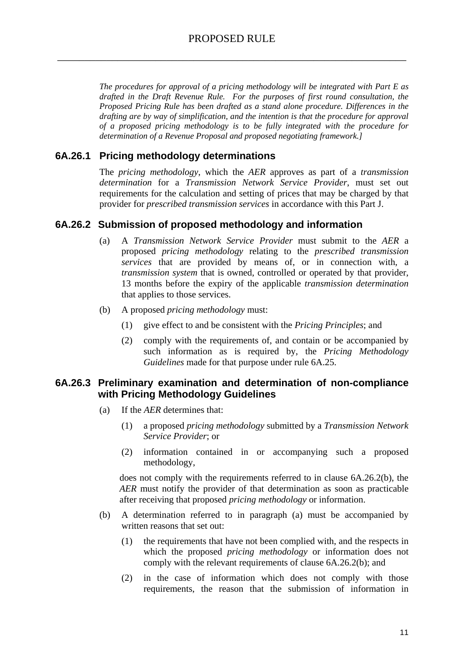*The procedures for approval of a pricing methodology will be integrated with Part E as drafted in the Draft Revenue Rule. For the purposes of first round consultation, the Proposed Pricing Rule has been drafted as a stand alone procedure. Differences in the drafting are by way of simplification, and the intention is that the procedure for approval of a proposed pricing methodology is to be fully integrated with the procedure for determination of a Revenue Proposal and proposed negotiating framework.]* 

## **6A.26.1 Pricing methodology determinations**

The *pricing methodology*, which the *AER* approves as part of a *transmission determination* for a *Transmission Network Service Provider*, must set out requirements for the calculation and setting of prices that may be charged by that provider for *prescribed transmission services* in accordance with this Part J.

## **6A.26.2 Submission of proposed methodology and information**

- (a) A *Transmission Network Service Provider* must submit to the *AER* a proposed *pricing methodology* relating to the *prescribed transmission services* that are provided by means of, or in connection with, a *transmission system* that is owned, controlled or operated by that provider, 13 months before the expiry of the applicable *transmission determination* that applies to those services.
- (b) A proposed *pricing methodology* must:
	- (1) give effect to and be consistent with the *Pricing Principles*; and
	- (2) comply with the requirements of, and contain or be accompanied by such information as is required by, the *Pricing Methodology Guidelines* made for that purpose under rule 6A.25.

## **6A.26.3 Preliminary examination and determination of non-compliance with Pricing Methodology Guidelines**

- (a) If the *AER* determines that:
	- (1) a proposed *pricing methodology* submitted by a *Transmission Network Service Provider*; or
	- (2) information contained in or accompanying such a proposed methodology,

does not comply with the requirements referred to in clause 6A.26.2(b), the *AER* must notify the provider of that determination as soon as practicable after receiving that proposed *pricing methodology* or information.

- (b) A determination referred to in paragraph (a) must be accompanied by written reasons that set out:
	- (1) the requirements that have not been complied with, and the respects in which the proposed *pricing methodology* or information does not comply with the relevant requirements of clause 6A.26.2(b); and
	- (2) in the case of information which does not comply with those requirements, the reason that the submission of information in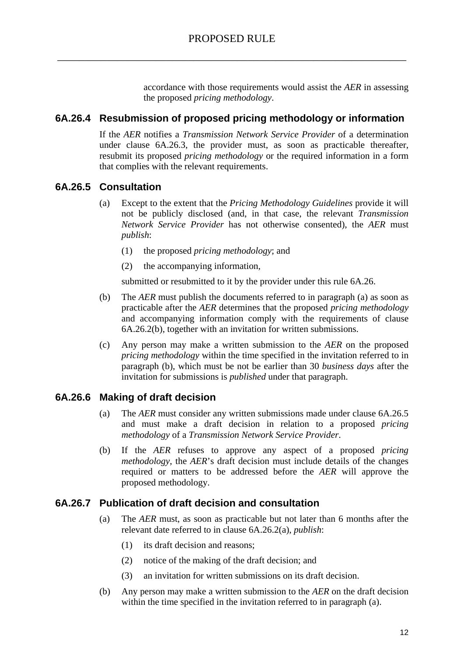accordance with those requirements would assist the *AER* in assessing the proposed *pricing methodology*.

## **6A.26.4 Resubmission of proposed pricing methodology or information**

If the *AER* notifies a *Transmission Network Service Provider* of a determination under clause 6A.26.3, the provider must, as soon as practicable thereafter, resubmit its proposed *pricing methodology* or the required information in a form that complies with the relevant requirements.

## **6A.26.5 Consultation**

- (a) Except to the extent that the *Pricing Methodology Guidelines* provide it will not be publicly disclosed (and, in that case, the relevant *Transmission Network Service Provider* has not otherwise consented), the *AER* must *publish*:
	- (1) the proposed *pricing methodology*; and
	- (2) the accompanying information,

submitted or resubmitted to it by the provider under this rule 6A.26.

- (b) The *AER* must publish the documents referred to in paragraph (a) as soon as practicable after the *AER* determines that the proposed *pricing methodology* and accompanying information comply with the requirements of clause 6A.26.2(b), together with an invitation for written submissions.
- (c) Any person may make a written submission to the *AER* on the proposed *pricing methodology* within the time specified in the invitation referred to in paragraph (b), which must be not be earlier than 30 *business days* after the invitation for submissions is *published* under that paragraph.

## **6A.26.6 Making of draft decision**

- (a) The *AER* must consider any written submissions made under clause 6A.26.5 and must make a draft decision in relation to a proposed *pricing methodology* of a *Transmission Network Service Provider*.
- (b) If the *AER* refuses to approve any aspect of a proposed *pricing methodology*, the *AER*'s draft decision must include details of the changes required or matters to be addressed before the *AER* will approve the proposed methodology.

## **6A.26.7 Publication of draft decision and consultation**

- (a) The *AER* must, as soon as practicable but not later than 6 months after the relevant date referred to in clause 6A.26.2(a), *publish*:
	- (1) its draft decision and reasons;
	- (2) notice of the making of the draft decision; and
	- (3) an invitation for written submissions on its draft decision.
- (b) Any person may make a written submission to the *AER* on the draft decision within the time specified in the invitation referred to in paragraph (a).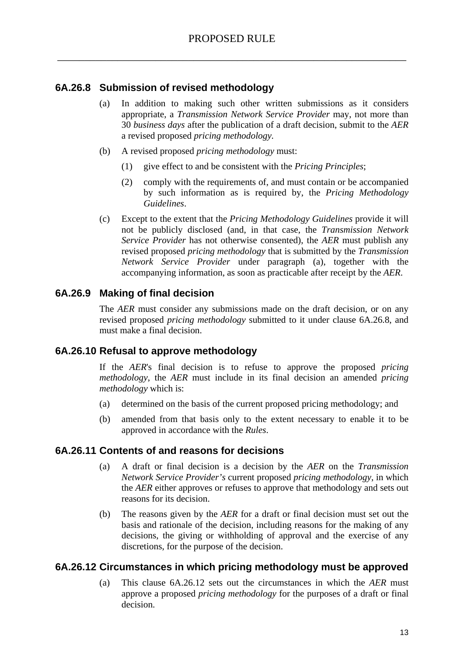## **6A.26.8 Submission of revised methodology**

- (a) In addition to making such other written submissions as it considers appropriate, a *Transmission Network Service Provider* may, not more than 30 *business days* after the publication of a draft decision, submit to the *AER*  a revised proposed *pricing methodology.*
- (b) A revised proposed *pricing methodology* must:
	- (1) give effect to and be consistent with the *Pricing Principles*;
	- (2) comply with the requirements of, and must contain or be accompanied by such information as is required by, the *Pricing Methodology Guidelines*.
- (c) Except to the extent that the *Pricing Methodology Guidelines* provide it will not be publicly disclosed (and, in that case, the *Transmission Network Service Provider* has not otherwise consented), the *AER* must publish any revised proposed *pricing methodology* that is submitted by the *Transmission Network Service Provider* under paragraph (a), together with the accompanying information, as soon as practicable after receipt by the *AER*.

## **6A.26.9 Making of final decision**

The *AER* must consider any submissions made on the draft decision, or on any revised proposed *pricing methodology* submitted to it under clause 6A.26.8, and must make a final decision.

## **6A.26.10 Refusal to approve methodology**

If the *AER*'s final decision is to refuse to approve the proposed *pricing methodology*, the *AER* must include in its final decision an amended *pricing methodology* which is:

- (a) determined on the basis of the current proposed pricing methodology; and
- (b) amended from that basis only to the extent necessary to enable it to be approved in accordance with the *Rules*.

## **6A.26.11 Contents of and reasons for decisions**

- (a) A draft or final decision is a decision by the *AER* on the *Transmission Network Service Provider's* current proposed *pricing methodology*, in which the *AER* either approves or refuses to approve that methodology and sets out reasons for its decision.
- (b) The reasons given by the *AER* for a draft or final decision must set out the basis and rationale of the decision, including reasons for the making of any decisions, the giving or withholding of approval and the exercise of any discretions, for the purpose of the decision.

## **6A.26.12 Circumstances in which pricing methodology must be approved**

(a) This clause 6A.26.12 sets out the circumstances in which the *AER* must approve a proposed *pricing methodology* for the purposes of a draft or final decision.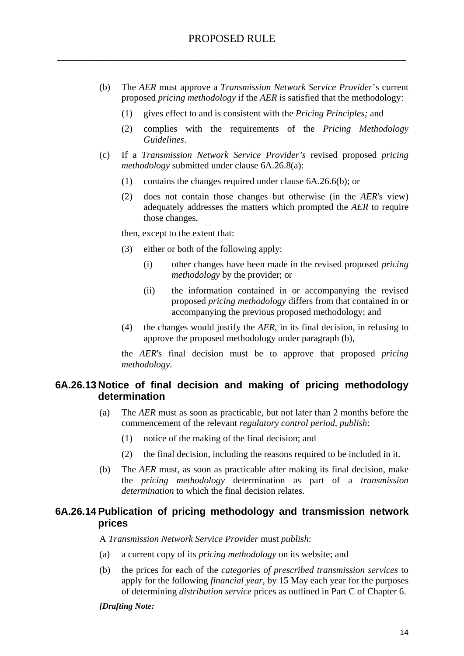- (b) The *AER* must approve a *Transmission Network Service Provider*'s current proposed *pricing methodology* if the *AER* is satisfied that the methodology:
	- (1) gives effect to and is consistent with the *Pricing Principles;* and
	- (2) complies with the requirements of the *Pricing Methodology Guidelines*.
- (c) If a *Transmission Network Service Provider's* revised proposed *pricing methodology* submitted under clause 6A.26.8(a):
	- (1) contains the changes required under clause 6A.26.6(b); or
	- (2) does not contain those changes but otherwise (in the *AER*'s view) adequately addresses the matters which prompted the *AER* to require those changes,

then, except to the extent that:

- (3) either or both of the following apply:
	- (i) other changes have been made in the revised proposed *pricing methodology* by the provider; or
	- (ii) the information contained in or accompanying the revised proposed *pricing methodology* differs from that contained in or accompanying the previous proposed methodology; and
- (4) the changes would justify the *AER*, in its final decision, in refusing to approve the proposed methodology under paragraph (b),

the *AER*'s final decision must be to approve that proposed *pricing methodology*.

## **6A.26.13 Notice of final decision and making of pricing methodology determination**

- (a) The *AER* must as soon as practicable, but not later than 2 months before the commencement of the relevant *regulatory control period*, *publish*:
	- (1) notice of the making of the final decision; and
	- (2) the final decision, including the reasons required to be included in it.
- (b) The *AER* must, as soon as practicable after making its final decision, make the *pricing methodology* determination as part of a *transmission determination* to which the final decision relates.

## **6A.26.14 Publication of pricing methodology and transmission network prices**

A *Transmission Network Service Provider* must *publish*:

- (a) a current copy of its *pricing methodology* on its website; and
- (b) the prices for each of the *categories of prescribed transmission services* to apply for the following *financial year*, by 15 May each year for the purposes of determining *distribution service* prices as outlined in Part C of Chapter 6.

#### *[Drafting Note:*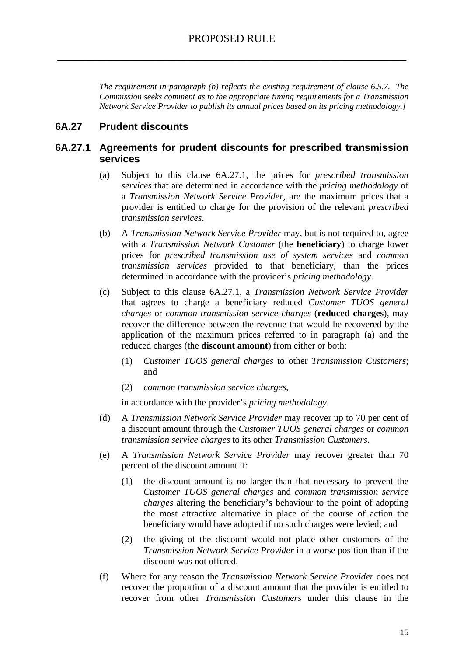*The requirement in paragraph (b) reflects the existing requirement of clause 6.5.7. The Commission seeks comment as to the appropriate timing requirements for a Transmission Network Service Provider to publish its annual prices based on its pricing methodology.]* 

## **6A.27 Prudent discounts**

### **6A.27.1 Agreements for prudent discounts for prescribed transmission services**

- (a) Subject to this clause 6A.27.1, the prices for *prescribed transmission services* that are determined in accordance with the *pricing methodology* of a *Transmission Network Service Provider*, are the maximum prices that a provider is entitled to charge for the provision of the relevant *prescribed transmission services*.
- (b) A *Transmission Network Service Provider* may, but is not required to, agree with a *Transmission Network Customer* (the **beneficiary**) to charge lower prices for *prescribed transmission use of system services* and *common transmission services* provided to that beneficiary, than the prices determined in accordance with the provider's *pricing methodology*.
- (c) Subject to this clause 6A.27.1, a *Transmission Network Service Provider*  that agrees to charge a beneficiary reduced *Customer TUOS general charges* or *common transmission service charges* (**reduced charges**), may recover the difference between the revenue that would be recovered by the application of the maximum prices referred to in paragraph (a) and the reduced charges (the **discount amount**) from either or both:
	- (1) *Customer TUOS general charges* to other *Transmission Customers*; and
	- (2) *common transmission service charges*,

in accordance with the provider's *pricing methodology*.

- (d) A *Transmission Network Service Provider* may recover up to 70 per cent of a discount amount through the *Customer TUOS general charges* or *common transmission service charges* to its other *Transmission Customers*.
- (e) A *Transmission Network Service Provider* may recover greater than 70 percent of the discount amount if:
	- (1) the discount amount is no larger than that necessary to prevent the *Customer TUOS general charges* and *common transmission service charges* altering the beneficiary's behaviour to the point of adopting the most attractive alternative in place of the course of action the beneficiary would have adopted if no such charges were levied; and
	- (2) the giving of the discount would not place other customers of the *Transmission Network Service Provider* in a worse position than if the discount was not offered.
- (f) Where for any reason the *Transmission Network Service Provider* does not recover the proportion of a discount amount that the provider is entitled to recover from other *Transmission Customers* under this clause in the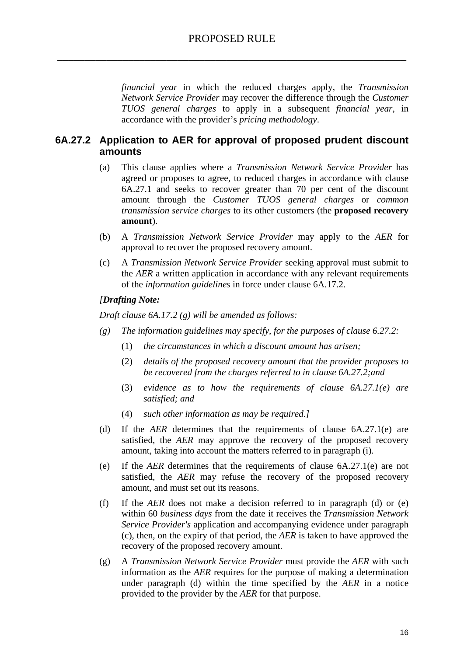*financial year* in which the reduced charges apply, the *Transmission Network Service Provider* may recover the difference through the *Customer TUOS general charges* to apply in a subsequent *financial year*, in accordance with the provider's *pricing methodology*.

## **6A.27.2 Application to AER for approval of proposed prudent discount amounts**

- (a) This clause applies where a *Transmission Network Service Provider* has agreed or proposes to agree, to reduced charges in accordance with clause 6A.27.1 and seeks to recover greater than 70 per cent of the discount amount through the *Customer TUOS general charges* or *common transmission service charges* to its other customers (the **proposed recovery amount**).
- (b) A *Transmission Network Service Provider* may apply to the *AER* for approval to recover the proposed recovery amount.
- (c) A *Transmission Network Service Provider* seeking approval must submit to the *AER* a written application in accordance with any relevant requirements of the *information guidelines* in force under clause 6A.17.2.

#### *[Drafting Note:*

*Draft clause 6A.17.2 (g) will be amended as follows:* 

- *(g) The information guidelines may specify, for the purposes of clause 6.27.2:* 
	- (1) *the circumstances in which a discount amount has arisen;*
	- (2) *details of the proposed recovery amount that the provider proposes to be recovered from the charges referred to in clause 6A.27.2;and*
	- (3) *evidence as to how the requirements of clause 6A.27.1(e) are satisfied; and*
	- (4) *such other information as may be required.]*
- (d) If the *AER* determines that the requirements of clause 6A.27.1(e) are satisfied, the *AER* may approve the recovery of the proposed recovery amount, taking into account the matters referred to in paragraph (i).
- (e) If the *AER* determines that the requirements of clause 6A.27.1(e) are not satisfied, the *AER* may refuse the recovery of the proposed recovery amount, and must set out its reasons.
- (f) If the *AER* does not make a decision referred to in paragraph (d) or (e) within 60 *business days* from the date it receives the *Transmission Network Service Provider's* application and accompanying evidence under paragraph (c), then, on the expiry of that period, the *AER* is taken to have approved the recovery of the proposed recovery amount.
- (g) A *Transmission Network Service Provider* must provide the *AER* with such information as the *AER* requires for the purpose of making a determination under paragraph (d) within the time specified by the *AER* in a notice provided to the provider by the *AER* for that purpose.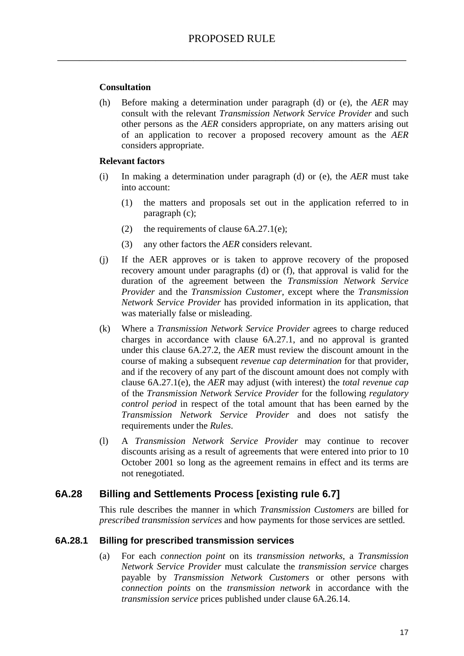#### **Consultation**

(h) Before making a determination under paragraph (d) or (e), the *AER* may consult with the relevant *Transmission Network Service Provider* and such other persons as the *AER* considers appropriate, on any matters arising out of an application to recover a proposed recovery amount as the *AER* considers appropriate.

#### **Relevant factors**

- (i) In making a determination under paragraph (d) or (e), the *AER* must take into account:
	- (1) the matters and proposals set out in the application referred to in paragraph (c);
	- (2) the requirements of clause  $6A.27.1(e)$ ;
	- (3) any other factors the *AER* considers relevant.
- (j) If the AER approves or is taken to approve recovery of the proposed recovery amount under paragraphs (d) or (f), that approval is valid for the duration of the agreement between the *Transmission Network Service Provider* and the *Transmission Customer*, except where the *Transmission Network Service Provider* has provided information in its application, that was materially false or misleading.
- (k) Where a *Transmission Network Service Provider* agrees to charge reduced charges in accordance with clause 6A.27.1, and no approval is granted under this clause 6A.27.2, the *AER* must review the discount amount in the course of making a subsequent *revenue cap determination* for that provider, and if the recovery of any part of the discount amount does not comply with clause 6A.27.1(e), the *AER* may adjust (with interest) the *total revenue cap* of the *Transmission Network Service Provider* for the following *regulatory control period* in respect of the total amount that has been earned by the *Transmission Network Service Provider* and does not satisfy the requirements under the *Rules*.
- (l) A *Transmission Network Service Provider* may continue to recover discounts arising as a result of agreements that were entered into prior to 10 October 2001 so long as the agreement remains in effect and its terms are not renegotiated.

#### **6A.28 Billing and Settlements Process [existing rule 6.7]**

This rule describes the manner in which *Transmission Customers* are billed for *prescribed transmission services* and how payments for those services are settled.

#### **6A.28.1 Billing for prescribed transmission services**

(a) For each *connection point* on its *transmission networks*, a *Transmission Network Service Provider* must calculate the *transmission service* charges payable by *Transmission Network Customers* or other persons with *connection points* on the *transmission network* in accordance with the *transmission service* prices published under clause 6A.26.14.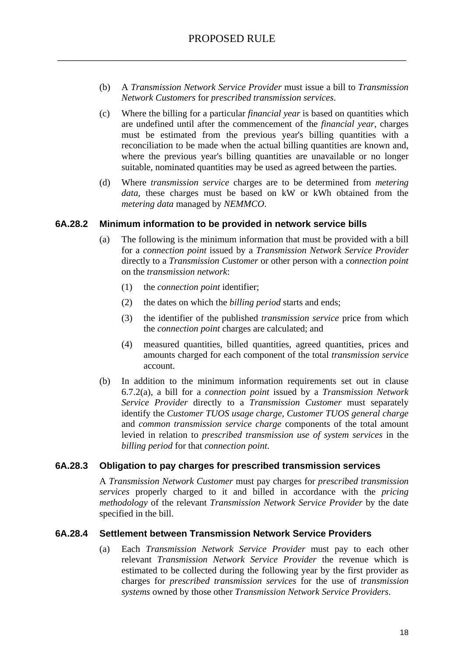- (b) A *Transmission Network Service Provider* must issue a bill to *Transmission Network Customers* for *prescribed transmission services*.
- (c) Where the billing for a particular *financial year* is based on quantities which are undefined until after the commencement of the *financial year*, charges must be estimated from the previous year's billing quantities with a reconciliation to be made when the actual billing quantities are known and, where the previous year's billing quantities are unavailable or no longer suitable, nominated quantities may be used as agreed between the parties.
- (d) Where *transmission service* charges are to be determined from *metering data*, these charges must be based on kW or kWh obtained from the *metering data* managed by *NEMMCO*.

#### **6A.28.2 Minimum information to be provided in network service bills**

- (a) The following is the minimum information that must be provided with a bill for a *connection point* issued by a *Transmission Network Service Provider* directly to a *Transmission Customer* or other person with a *connection point* on the *transmission network*:
	- (1) the *connection point* identifier;
	- (2) the dates on which the *billing period* starts and ends;
	- (3) the identifier of the published *transmission service* price from which the *connection point* charges are calculated; and
	- (4) measured quantities, billed quantities, agreed quantities, prices and amounts charged for each component of the total *transmission service* account.
- (b) In addition to the minimum information requirements set out in clause 6.7.2(a), a bill for a *connection point* issued by a *Transmission Network Service Provider* directly to a *Transmission Customer* must separately identify the *Customer TUOS usage charge*, *Customer TUOS general charge* and *common transmission service charge* components of the total amount levied in relation to *prescribed transmission use of system services* in the *billing period* for that *connection point*.

#### **6A.28.3 Obligation to pay charges for prescribed transmission services**

A *Transmission Network Customer* must pay charges for *prescribed transmission services* properly charged to it and billed in accordance with the *pricing methodology* of the relevant *Transmission Network Service Provider* by the date specified in the bill.

#### **6A.28.4 Settlement between Transmission Network Service Providers**

(a) Each *Transmission Network Service Provider* must pay to each other relevant *Transmission Network Service Provider* the revenue which is estimated to be collected during the following year by the first provider as charges for *prescribed transmission services* for the use of *transmission systems* owned by those other *Transmission Network Service Providers*.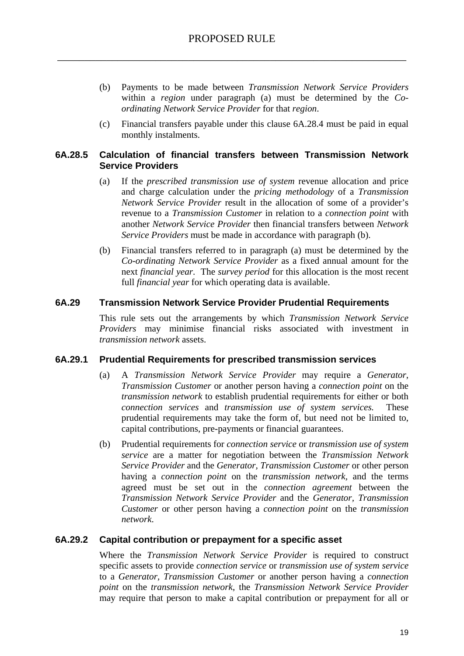- (b) Payments to be made between *Transmission Network Service Providers* within a *region* under paragraph (a) must be determined by the *Coordinating Network Service Provider* for that *region*.
- (c) Financial transfers payable under this clause 6A.28.4 must be paid in equal monthly instalments.

#### **6A.28.5 Calculation of financial transfers between Transmission Network Service Providers**

- (a) If the *prescribed transmission use of system* revenue allocation and price and charge calculation under the *pricing methodology* of a *Transmission Network Service Provider* result in the allocation of some of a provider's revenue to a *Transmission Customer* in relation to a *connection point* with another *Network Service Provider* then financial transfers between *Network Service Providers* must be made in accordance with paragraph (b).
- (b) Financial transfers referred to in paragraph (a) must be determined by the *Co-ordinating Network Service Provider* as a fixed annual amount for the next *financial year*. The *survey period* for this allocation is the most recent full *financial year* for which operating data is available.

#### **6A.29 Transmission Network Service Provider Prudential Requirements**

This rule sets out the arrangements by which *Transmission Network Service Providers* may minimise financial risks associated with investment in *transmission network* assets.

#### **6A.29.1 Prudential Requirements for prescribed transmission services**

- (a) A *Transmission Network Service Provider* may require a *Generator*, *Transmission Customer* or another person having a *connection point* on the *transmission network* to establish prudential requirements for either or both *connection services* and *transmission use of system services.* These prudential requirements may take the form of, but need not be limited to, capital contributions, pre-payments or financial guarantees.
- (b) Prudential requirements for *connection service* or *transmission use of system service* are a matter for negotiation between the *Transmission Network Service Provider* and the *Generator, Transmission Customer* or other person having a *connection point* on the *transmission network,* and the terms agreed must be set out in the *connection agreement* between the *Transmission Network Service Provider* and the *Generator, Transmission Customer* or other person having a *connection point* on the *transmission network*.

#### **6A.29.2 Capital contribution or prepayment for a specific asset**

Where the *Transmission Network Service Provider* is required to construct specific assets to provide *connection service* or *transmission use of system service* to a *Generator, Transmission Customer* or another person having a *connection point* on the *transmission network*, the *Transmission Network Service Provider*  may require that person to make a capital contribution or prepayment for all or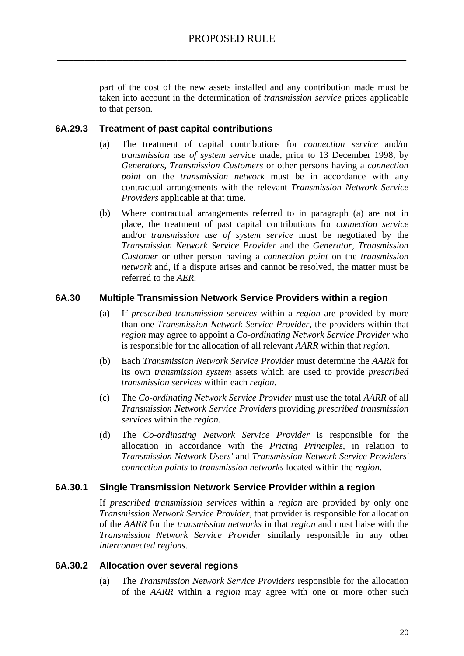part of the cost of the new assets installed and any contribution made must be taken into account in the determination of *transmission service* prices applicable to that person*.*

### **6A.29.3 Treatment of past capital contributions**

- (a) The treatment of capital contributions for *connection service* and/or *transmission use of system service* made, prior to 13 December 1998, by *Generators, Transmission Customers* or other persons having a *connection point* on the *transmission network* must be in accordance with any contractual arrangements with the relevant *Transmission Network Service Providers* applicable at that time.
- (b) Where contractual arrangements referred to in paragraph (a) are not in place, the treatment of past capital contributions for *connection service* and/or *transmission use of system service* must be negotiated by the *Transmission Network Service Provider* and the *Generator, Transmission Customer* or other person having a *connection point* on the *transmission network* and, if a dispute arises and cannot be resolved, the matter must be referred to the *AER*.

#### **6A.30 Multiple Transmission Network Service Providers within a region**

- (a) If *prescribed transmission services* within a *region* are provided by more than one *Transmission Network Service Provider*, the providers within that *region* may agree to appoint a *Co-ordinating Network Service Provider* who is responsible for the allocation of all relevant *AARR* within that *region*.
- (b) Each *Transmission Network Service Provider* must determine the *AARR* for its own *transmission system* assets which are used to provide *prescribed transmission services* within each *region*.
- (c) The *Co-ordinating Network Service Provider* must use the total *AARR* of all *Transmission Network Service Providers* providing *prescribed transmission services* within the *region*.
- (d) The *Co-ordinating Network Service Provider* is responsible for the allocation in accordance with the *Pricing Principles*, in relation to *Transmission Network Users'* and *Transmission Network Service Providers' connection points* to *transmission networks* located within the *region*.

#### **6A.30.1 Single Transmission Network Service Provider within a region**

If *prescribed transmission services* within a *region* are provided by only one *Transmission Network Service Provider,* that provider is responsible for allocation of the *AARR* for the *transmission networks* in that *region* and must liaise with the *Transmission Network Service Provider* similarly responsible in any other *interconnected regions.*

#### **6A.30.2 Allocation over several regions**

(a) The *Transmission Network Service Providers* responsible for the allocation of the *AARR* within a *region* may agree with one or more other such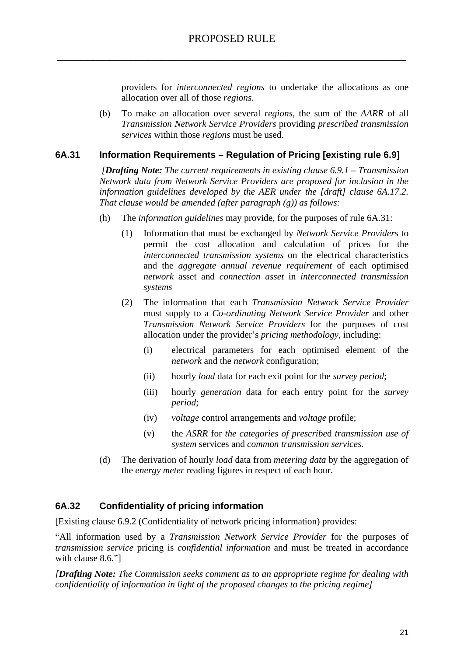providers for *interconnected regions* to undertake the allocations as one allocation over all of those *regions*.

(b) To make an allocation over several *regions*, the sum of the *AARR* of all *Transmission Network Service Providers* providing *prescribed transmission services* within those *regions* must be used.

### **6A.31 Information Requirements – Regulation of Pricing [existing rule 6.9]**

 *[Drafting Note: The current requirements in existing clause 6.9.1 – Transmission Network data from Network Service Providers are proposed for inclusion in the information guidelines developed by the AER under the [draft] clause 6A.17.2. That clause would be amended (after paragraph (g)) as follows:* 

- (h) The *information guidelines* may provide, for the purposes of rule 6A.31:
	- (1) Information that must be exchanged by *Network Service Providers* to permit the cost allocation and calculation of prices for the *interconnected transmission systems* on the electrical characteristics and the *aggregate annual revenue requirement* of each optimised *network* asset and *connection asset* in *interconnected transmission systems*
	- (2) The information that each *Transmission Network Service Provider*  must supply to a *Co-ordinating Network Service Provider* and other *Transmission Network Service Providers* for the purposes of cost allocation under the provider's *pricing methodology*, including:
		- (i) electrical parameters for each optimised element of the *network* and the *network* configuration;
		- (ii) hourly *load* data for each exit point for the *survey period*;
		- (iii) hourly *generation* data for each entry point for the *survey period*;
		- (iv) *voltage* control arrangements and *voltage* profile;
		- (v) the *ASRR* for *the categories of prescribe*d *transmission use of system* services and *common transmission services.*
- (d) The derivation of hourly *load* data from *metering data* by the aggregation of the *energy meter* reading figures in respect of each hour.

## **6A.32 Confidentiality of pricing information**

[Existing clause 6.9.2 (Confidentiality of network pricing information) provides:

"All information used by a *Transmission Network Service Provider* for the purposes of *transmission service* pricing is *confidential information* and must be treated in accordance with clause 8.6."]

*[Drafting Note: The Commission seeks comment as to an appropriate regime for dealing with confidentiality of information in light of the proposed changes to the pricing regime]*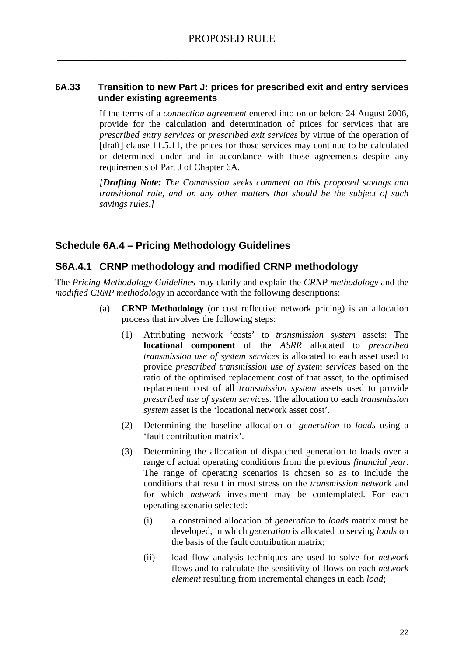#### **6A.33 Transition to new Part J: prices for prescribed exit and entry services under existing agreements**

If the terms of a *connection agreement* entered into on or before 24 August 2006, provide for the calculation and determination of prices for services that are *prescribed entry services* or *prescribed exit services* by virtue of the operation of [draft] clause 11.5.11, the prices for those services may continue to be calculated or determined under and in accordance with those agreements despite any requirements of Part J of Chapter 6A.

*[Drafting Note: The Commission seeks comment on this proposed savings and transitional rule, and on any other matters that should be the subject of such savings rules.]* 

## **Schedule 6A.4 – Pricing Methodology Guidelines**

## **S6A.4.1 CRNP methodology and modified CRNP methodology**

The *Pricing Methodology Guidelines* may clarify and explain the *CRNP methodology* and the *modified CRNP methodology* in accordance with the following descriptions:

- (a) **CRNP Methodology** (or cost reflective network pricing) is an allocation process that involves the following steps:
	- (1) Attributing network 'costs' to *transmission system* assets: The **locational component** of the *ASRR* allocated to *prescribed transmission use of system services* is allocated to each asset used to provide *prescribed transmission use of system services* based on the ratio of the optimised replacement cost of that asset, to the optimised replacement cost of all *transmission system* assets used to provide *prescribed use of system services*. The allocation to each *transmission system* asset is the 'locational network asset cost'.
	- (2) Determining the baseline allocation of *generation* to *loads* using a 'fault contribution matrix'.
	- (3) Determining the allocation of dispatched generation to loads over a range of actual operating conditions from the previous *financial year*. The range of operating scenarios is chosen so as to include the conditions that result in most stress on the *transmission networ*k and for which *network* investment may be contemplated. For each operating scenario selected:
		- (i) a constrained allocation of *generation* to *loads* matrix must be developed, in which *generation* is allocated to serving *loads* on the basis of the fault contribution matrix;
		- (ii) load flow analysis techniques are used to solve for *network* flows and to calculate the sensitivity of flows on each *network element* resulting from incremental changes in each *load*;